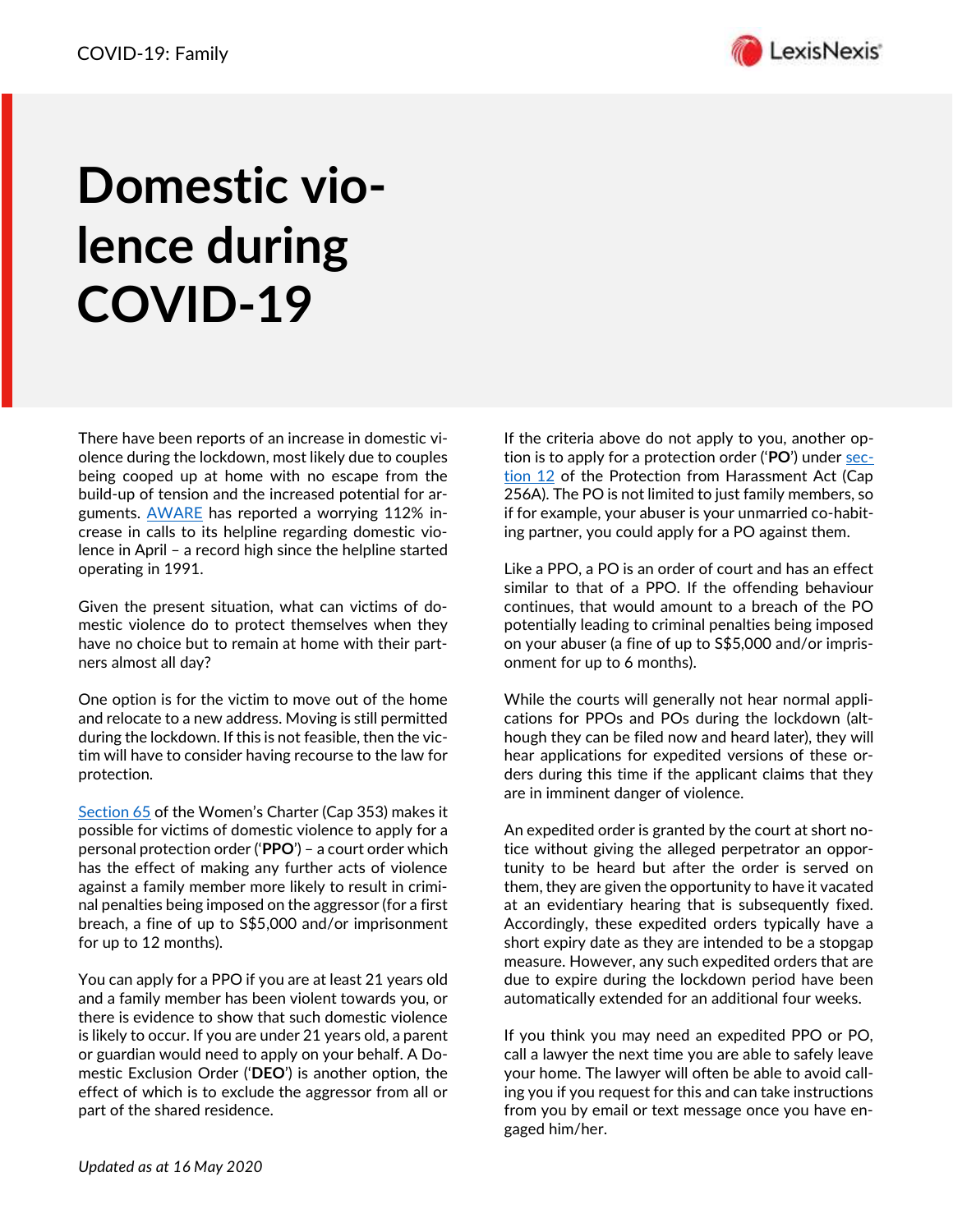

## **Domestic violence during COVID-19**

There have been reports of an increase in domestic violence during the lockdown, most likely due to couples being cooped up at home with no escape from the build-up of tension and the increased potential for arguments. [AWARE](https://www.aware.org.sg/) has reported a worrying 112% increase in calls to its helpline regarding domestic violence in April – a record high since the helpline started operating in 1991.

Given the present situation, what can victims of domestic violence do to protect themselves when they have no choice but to remain at home with their partners almost all day?

One option is for the victim to move out of the home and relocate to a new address. Moving is still permitted during the lockdown. If this is not feasible, then the victim will have to consider having recourse to the law for protection.

[Section 65](https://sso.agc.gov.sg/Act/WC1961#pr65-) of the Women's Charter (Cap 353) makes it possible for victims of domestic violence to apply for a personal protection order ('**PPO**') – a court order which has the effect of making any further acts of violence against a family member more likely to result in criminal penalties being imposed on the aggressor (for a first breach, a fine of up to S\$5,000 and/or imprisonment for up to 12 months).

You can apply for a PPO if you are at least 21 years old and a family member has been violent towards you, or there is evidence to show that such domestic violence is likely to occur. If you are under 21 years old, a parent or guardian would need to apply on your behalf. A Domestic Exclusion Order ('**DEO**') is another option, the effect of which is to exclude the aggressor from all or part of the shared residence.

If the criteria above do not apply to you, another option is to apply for a protection order ('**PO**') under [sec](https://sso.agc.gov.sg/Act/PHA2014#pr12-)[tion 12](https://sso.agc.gov.sg/Act/PHA2014#pr12-) of the Protection from Harassment Act (Cap 256A). The PO is not limited to just family members, so if for example, your abuser is your unmarried co-habiting partner, you could apply for a PO against them.

Like a PPO, a PO is an order of court and has an effect similar to that of a PPO. If the offending behaviour continues, that would amount to a breach of the PO potentially leading to criminal penalties being imposed on your abuser (a fine of up to S\$5,000 and/or imprisonment for up to 6 months).

While the courts will generally not hear normal applications for PPOs and POs during the lockdown (although they can be filed now and heard later), they will hear applications for expedited versions of these orders during this time if the applicant claims that they are in imminent danger of violence.

An expedited order is granted by the court at short notice without giving the alleged perpetrator an opportunity to be heard but after the order is served on them, they are given the opportunity to have it vacated at an evidentiary hearing that is subsequently fixed. Accordingly, these expedited orders typically have a short expiry date as they are intended to be a stopgap measure. However, any such expedited orders that are due to expire during the lockdown period have been automatically extended for an additional four weeks.

If you think you may need an expedited PPO or PO, call a lawyer the next time you are able to safely leave your home. The lawyer will often be able to avoid calling you if you request for this and can take instructions from you by email or text message once you have engaged him/her.